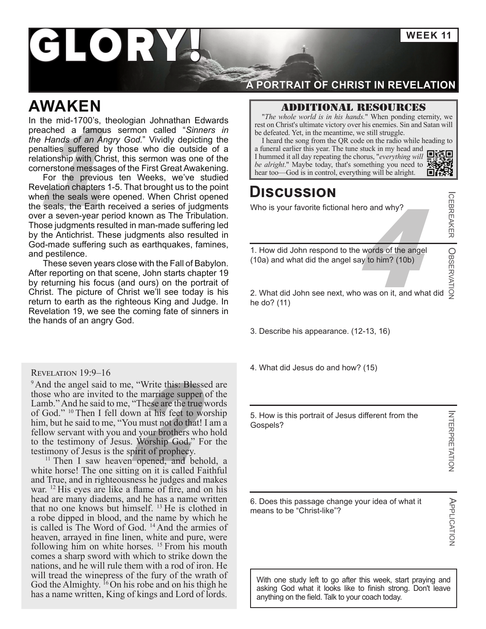**WEEK 11**

# **LORY**

# **AWAKEN**

**be defeated.** Yet, in the meantime, we still struggle.<br> **be defeated.** Yet, in the meantime, we still struggle.<br> **a** funeral the song from the QR code on the radio while hear this suffered by those who die outside of a<br>
l In the mid-1700's, theologian Johnathan Edwards preached a famous sermon called "*Sinners in the Hands of an Angry God.*" Vividly depicting the penalties suffered by those who die outside of a relationship with Christ, this sermon was one of the cornerstone messages of the First Great Awakening.

For the previous ten Weeks, we've studied Revelation chapters 1-5. That brought us to the point when the seals were opened. When Christ opened the seals, the Earth received a series of judgments over a seven-year period known as The Tribulation. Those judgments resulted in man-made suffering led by the Antichrist. These judgments also resulted in God-made suffering such as earthquakes, famines, and pestilence.

These seven years close with the Fall of Babylon. After reporting on that scene, John starts chapter 19 by returning his focus (and ours) on the portrait of Christ. The picture of Christ we'll see today is his return to earth as the righteous King and Judge. In Revelation 19, we see the coming fate of sinners in the hands of an angry God.

#### Revelation 19:9–16

e, "Write this: Blessec<br>he marriage supper of<br>"These are the true w<br>wn at his feet to wor<br>bu must not do that! I and your brothers who<br>"Worship God," For<br>pirit of prophecy. <sup>9</sup> And the angel said to me, "Write this: Blessed are those who are invited to the marriage supper of the Lamb." And he said to me, "These are the true words of God." 10 Then I fell down at his feet to worship him, but he said to me, "You must not do that! I am a fellow servant with you and your brothers who hold to the testimony of Jesus. Worship God." For the testimony of Jesus is the spirit of prophecy.

<sup>11</sup> Then I saw heaven opened, and behold, a white horse! The one sitting on it is called Faithful and True, and in righteousness he judges and makes war. 12 His eyes are like a flame of fire, and on his head are many diadems, and he has a name written that no one knows but himself. 13 He is clothed in a robe dipped in blood, and the name by which he is called is The Word of God. 14 And the armies of heaven, arrayed in fine linen, white and pure, were following him on white horses. 15 From his mouth comes a sharp sword with which to strike down the nations, and he will rule them with a rod of iron. He will tread the winepress of the fury of the wrath of God the Almighty.  $^{16}$  On his robe and on his thigh he has a name written, King of kings and Lord of lords.

### **A PORTRAIT OF CHRIST IN REVELATION**

### Additional resources

"*The whole world is in his hands.*" When ponding eternity, we rest on Christ's ultimate victory over his enemies. Sin and Satan will be defeated. Yet, in the meantime, we still struggle.

I heard the song from the QR code on the radio while heading to a funeral earlier this year. The tune stuck in my head and I hummed it all day repeating the chorus, "*everything wil[l](https://youtu.be/9NLnlPs-m58)* 

# **Discussion**

Who is your favorite fictional hero and why?

ICEBREAKER

experience words of the angel<br>say to him? (10b) 1. How did John respond to the words of the angel (10a) and what did the angel say to him? (10b)

2. What did John see next, who was on it, and what did he do? (11) OBSERVATION

3. Describe his appearance. (12-13, 16)

4. What did Jesus do and how? (15)

5. How is this portrait of Jesus different from the Gospels?

APPLICATION

**APPLICATION** 

6. Does this passage change your idea of what it means to be "Christ-like"?

With one study left to go after this week, start praying and asking God what it looks like to finish strong. Don't leave anything on the field. Talk to your coach today.